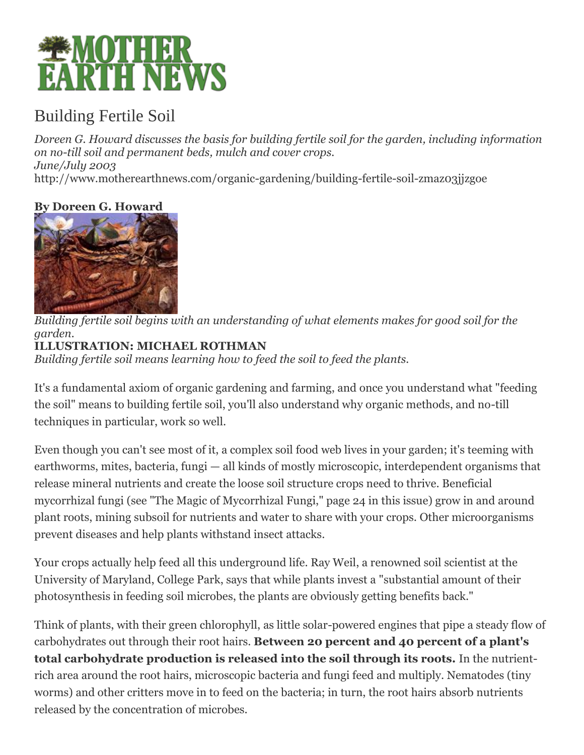# *MOTHER*<br>EARTH NEWS

#### Building Fertile Soil

*Doreen G. Howard discusses the basis for building fertile soil for the garden, including information on no-till soil and permanent beds, mulch and cover crops. June/July 2003* http://www.motherearthnews.com/organic-gardening/building-fertile-soil-zmaz03jjzgoe

**By Doreen G. Howard**



*Building fertile soil begins with an understanding of what elements makes for good soil for the garden.*  **ILLUSTRATION: MICHAEL ROTHMAN** 

*Building fertile soil means learning how to feed the soil to feed the plants.*

It's a fundamental axiom of organic gardening and farming, and once you understand what "feeding the soil" means to building fertile soil, you'll also understand why organic methods, and no-till techniques in particular, work so well.

Even though you can't see most of it, a complex soil food web lives in your garden; it's teeming with earthworms, mites, bacteria, fungi — all kinds of mostly microscopic, interdependent organisms that release mineral nutrients and create the loose soil structure crops need to thrive. Beneficial mycorrhizal fungi (see "The Magic of Mycorrhizal Fungi," page 24 in this issue) grow in and around plant roots, mining subsoil for nutrients and water to share with your crops. Other microorganisms prevent diseases and help plants withstand insect attacks.

Your crops actually help feed all this underground life. Ray Weil, a renowned soil scientist at the University of Maryland, College Park, says that while plants invest a "substantial amount of their photosynthesis in feeding soil microbes, the plants are obviously getting benefits back."

Think of plants, with their green chlorophyll, as little solar-powered engines that pipe a steady flow of carbohydrates out through their root hairs. **Between 20 percent and 40 percent of a plant's total carbohydrate production is released into the soil through its roots.** In the nutrientrich area around the root hairs, microscopic bacteria and fungi feed and multiply. Nematodes (tiny worms) and other critters move in to feed on the bacteria; in turn, the root hairs absorb nutrients released by the concentration of microbes.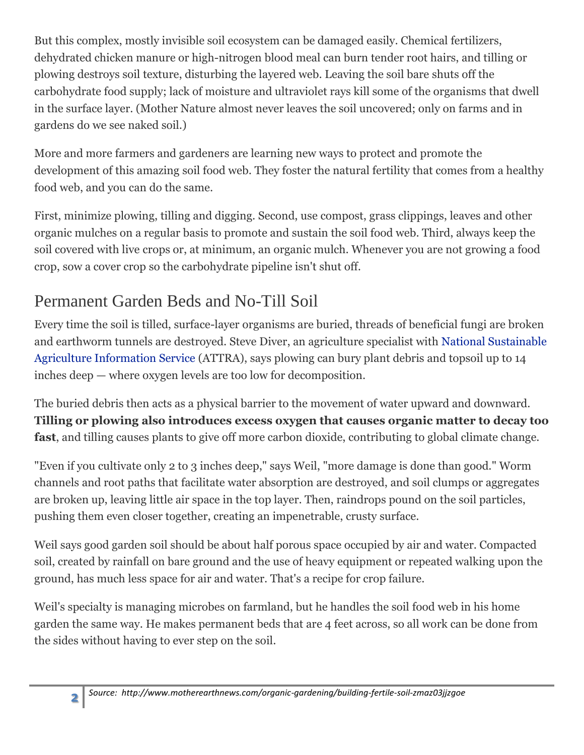But this complex, mostly invisible soil ecosystem can be damaged easily. Chemical fertilizers, dehydrated chicken manure or high-nitrogen blood meal can burn tender root hairs, and tilling or plowing destroys soil texture, disturbing the layered web. Leaving the soil bare shuts off the carbohydrate food supply; lack of moisture and ultraviolet rays kill some of the organisms that dwell in the surface layer. (Mother Nature almost never leaves the soil uncovered; only on farms and in gardens do we see naked soil.)

More and more farmers and gardeners are learning new ways to protect and promote the development of this amazing soil food web. They foster the natural fertility that comes from a healthy food web, and you can do the same.

First, minimize plowing, tilling and digging. Second, use compost, grass clippings, leaves and other organic mulches on a regular basis to promote and sustain the soil food web. Third, always keep the soil covered with live crops or, at minimum, an organic mulch. Whenever you are not growing a food crop, sow a cover crop so the carbohydrate pipeline isn't shut off.

# Permanent Garden Beds and No-Till Soil

Every time the soil is tilled, surface-layer organisms are buried, threads of beneficial fungi are broken and earthworm tunnels are destroyed. Steve Diver, an agriculture specialist with [National Sustainable](http://attra.ncat.org/)  [Agriculture Information Service](http://attra.ncat.org/) (ATTRA), says plowing can bury plant debris and topsoil up to 14 inches deep — where oxygen levels are too low for decomposition.

The buried debris then acts as a physical barrier to the movement of water upward and downward. **Tilling or plowing also introduces excess oxygen that causes organic matter to decay too fast**, and tilling causes plants to give off more carbon dioxide, contributing to global climate change.

"Even if you cultivate only 2 to 3 inches deep," says Weil, "more damage is done than good." Worm channels and root paths that facilitate water absorption are destroyed, and soil clumps or aggregates are broken up, leaving little air space in the top layer. Then, raindrops pound on the soil particles, pushing them even closer together, creating an impenetrable, crusty surface.

Weil says good garden soil should be about half porous space occupied by air and water. Compacted soil, created by rainfall on bare ground and the use of heavy equipment or repeated walking upon the ground, has much less space for air and water. That's a recipe for crop failure.

Weil's specialty is managing microbes on farmland, but he handles the soil food web in his home garden the same way. He makes permanent beds that are 4 feet across, so all work can be done from the sides without having to ever step on the soil.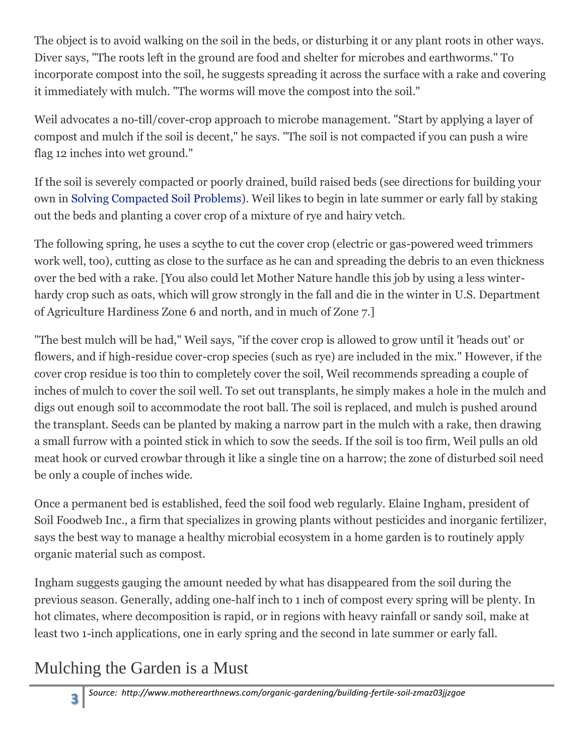The object is to avoid walking on the soil in the beds, or disturbing it or any plant roots in other ways. Diver says, "The roots left in the ground are food and shelter for microbes and earthworms." To incorporate compost into the soil, he suggests spreading it across the surface with a rake and covering it immediately with mulch. "The worms will move the compost into the soil."

Weil advocates a no-till/cover-crop approach to microbe management. "Start by applying a layer of compost and mulch if the soil is decent," he says. "The soil is not compacted if you can push a wire flag 12 inches into wet ground."

If the soil is severely compacted or poorly drained, build raised beds (see directions for building your own in [Solving Compacted Soil Problems\)](http://www.motherearthnews.com/organic-gardening/solving-compacted-soil-problems-zmaz03jjzgoe.aspx). Weil likes to begin in late summer or early fall by staking out the beds and planting a cover crop of a mixture of rye and hairy vetch.

The following spring, he uses a scythe to cut the cover crop (electric or gas-powered weed trimmers work well, too), cutting as close to the surface as he can and spreading the debris to an even thickness over the bed with a rake. [You also could let Mother Nature handle this job by using a less winterhardy crop such as oats, which will grow strongly in the fall and die in the winter in U.S. Department of Agriculture Hardiness Zone 6 and north, and in much of Zone 7.]

"The best mulch will be had," Weil says, "if the cover crop is allowed to grow until it 'heads out' or flowers, and if high-residue cover-crop species (such as rye) are included in the mix." However, if the cover crop residue is too thin to completely cover the soil, Weil recommends spreading a couple of inches of mulch to cover the soil well. To set out transplants, he simply makes a hole in the mulch and digs out enough soil to accommodate the root ball. The soil is replaced, and mulch is pushed around the transplant. Seeds can be planted by making a narrow part in the mulch with a rake, then drawing a small furrow with a pointed stick in which to sow the seeds. If the soil is too firm, Weil pulls an old meat hook or curved crowbar through it like a single tine on a harrow; the zone of disturbed soil need be only a couple of inches wide.

Once a permanent bed is established, feed the soil food web regularly. Elaine Ingham, president of Soil Foodweb Inc., a firm that specializes in growing plants without pesticides and inorganic fertilizer, says the best way to manage a healthy microbial ecosystem in a home garden is to routinely apply organic material such as compost.

Ingham suggests gauging the amount needed by what has disappeared from the soil during the previous season. Generally, adding one-half inch to 1 inch of compost every spring will be plenty. In hot climates, where decomposition is rapid, or in regions with heavy rainfall or sandy soil, make at least two 1-inch applications, one in early spring and the second in late summer or early fall.

## Mulching the Garden is a Must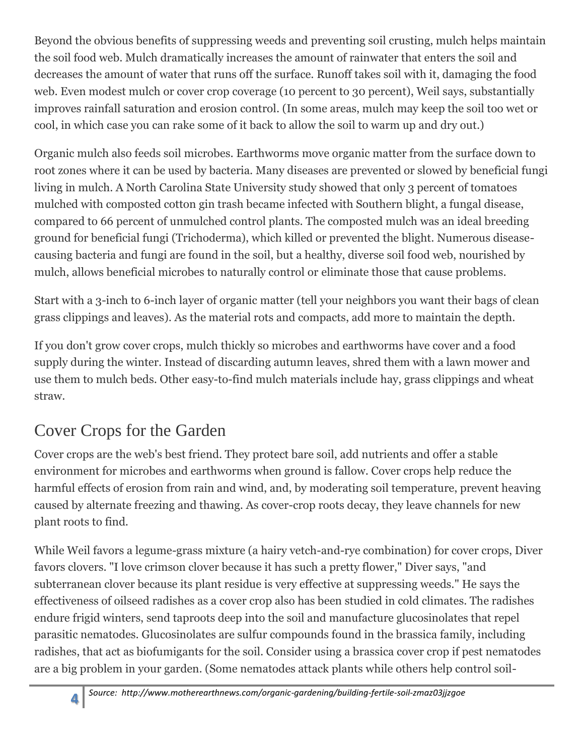Beyond the obvious benefits of suppressing weeds and preventing soil crusting, mulch helps maintain the soil food web. Mulch dramatically increases the amount of rainwater that enters the soil and decreases the amount of water that runs off the surface. Runoff takes soil with it, damaging the food web. Even modest mulch or cover crop coverage (10 percent to 30 percent), Weil says, substantially improves rainfall saturation and erosion control. (In some areas, mulch may keep the soil too wet or cool, in which case you can rake some of it back to allow the soil to warm up and dry out.)

Organic mulch also feeds soil microbes. Earthworms move organic matter from the surface down to root zones where it can be used by bacteria. Many diseases are prevented or slowed by beneficial fungi living in mulch. A North Carolina State University study showed that only 3 percent of tomatoes mulched with composted cotton gin trash became infected with Southern blight, a fungal disease, compared to 66 percent of unmulched control plants. The composted mulch was an ideal breeding ground for beneficial fungi (Trichoderma), which killed or prevented the blight. Numerous diseasecausing bacteria and fungi are found in the soil, but a healthy, diverse soil food web, nourished by mulch, allows beneficial microbes to naturally control or eliminate those that cause problems.

Start with a 3-inch to 6-inch layer of organic matter (tell your neighbors you want their bags of clean grass clippings and leaves). As the material rots and compacts, add more to maintain the depth.

If you don't grow cover crops, mulch thickly so microbes and earthworms have cover and a food supply during the winter. Instead of discarding autumn leaves, shred them with a lawn mower and use them to mulch beds. Other easy-to-find mulch materials include hay, grass clippings and wheat straw.

## Cover Crops for the Garden

**4**

Cover crops are the web's best friend. They protect bare soil, add nutrients and offer a stable environment for microbes and earthworms when ground is fallow. Cover crops help reduce the harmful effects of erosion from rain and wind, and, by moderating soil temperature, prevent heaving caused by alternate freezing and thawing. As cover-crop roots decay, they leave channels for new plant roots to find.

While Weil favors a legume-grass mixture (a hairy vetch-and-rye combination) for cover crops, Diver favors clovers. "I love crimson clover because it has such a pretty flower," Diver says, "and subterranean clover because its plant residue is very effective at suppressing weeds." He says the effectiveness of oilseed radishes as a cover crop also has been studied in cold climates. The radishes endure frigid winters, send taproots deep into the soil and manufacture glucosinolates that repel parasitic nematodes. Glucosinolates are sulfur compounds found in the brassica family, including radishes, that act as biofumigants for the soil. Consider using a brassica cover crop if pest nematodes are a big problem in your garden. (Some nematodes attack plants while others help control soil